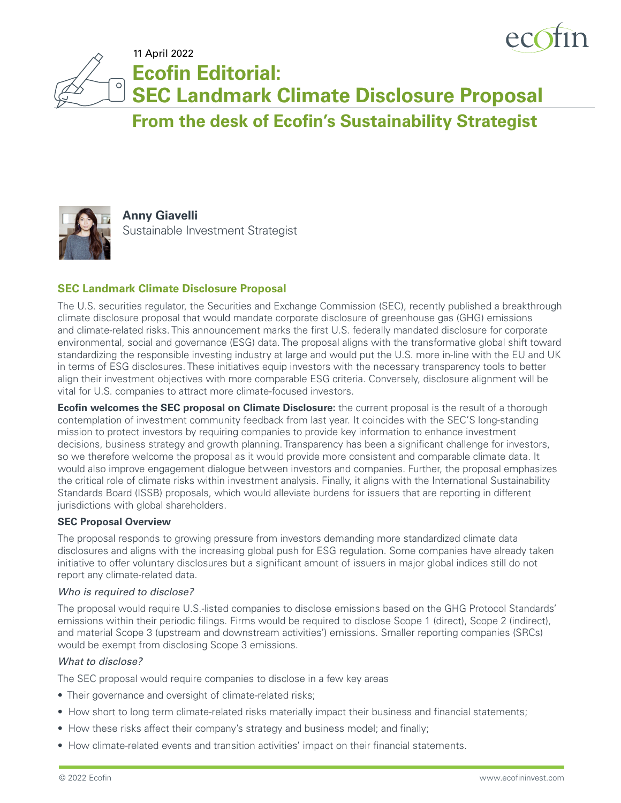

11 April 2022

**Ecofin Editorial:**

**SEC Landmark Climate Disclosure Proposal**

**From the desk of Ecofin's Sustainability Strategist**



 $\circ$ 

**Anny Giavelli** Sustainable Investment Strategist

# **SEC Landmark Climate Disclosure Proposal**

The U.S. securities regulator, the Securities and Exchange Commission (SEC), recently published a breakthrough climate disclosure proposal that would mandate corporate disclosure of greenhouse gas (GHG) emissions and climate-related risks. This announcement marks the first U.S. federally mandated disclosure for corporate environmental, social and governance (ESG) data. The proposal aligns with the transformative global shift toward standardizing the responsible investing industry at large and would put the U.S. more in-line with the EU and UK in terms of ESG disclosures. These initiatives equip investors with the necessary transparency tools to better align their investment objectives with more comparable ESG criteria. Conversely, disclosure alignment will be vital for U.S. companies to attract more climate-focused investors.

**Ecofin welcomes the SEC proposal on Climate Disclosure:** the current proposal is the result of a thorough contemplation of investment community feedback from last year. It coincides with the SEC'S long-standing mission to protect investors by requiring companies to provide key information to enhance investment decisions, business strategy and growth planning. Transparency has been a significant challenge for investors, so we therefore welcome the proposal as it would provide more consistent and comparable climate data. It would also improve engagement dialogue between investors and companies. Further, the proposal emphasizes the critical role of climate risks within investment analysis. Finally, it aligns with the International Sustainability Standards Board (ISSB) proposals, which would alleviate burdens for issuers that are reporting in different jurisdictions with global shareholders.

#### **SEC Proposal Overview**

The proposal responds to growing pressure from investors demanding more standardized climate data disclosures and aligns with the increasing global push for ESG regulation. Some companies have already taken initiative to offer voluntary disclosures but a significant amount of issuers in major global indices still do not report any climate-related data.

#### *Who is required to disclose?*

The proposal would require U.S.-listed companies to disclose emissions based on the GHG Protocol Standards' emissions within their periodic filings. Firms would be required to disclose Scope 1 (direct), Scope 2 (indirect), and material Scope 3 (upstream and downstream activities') emissions. Smaller reporting companies (SRCs) would be exempt from disclosing Scope 3 emissions.

#### *What to disclose?*

The SEC proposal would require companies to disclose in a few key areas

- Their governance and oversight of climate-related risks;
- How short to long term climate-related risks materially impact their business and financial statements;
- How these risks affect their company's strategy and business model; and finally;
- How climate-related events and transition activities' impact on their financial statements.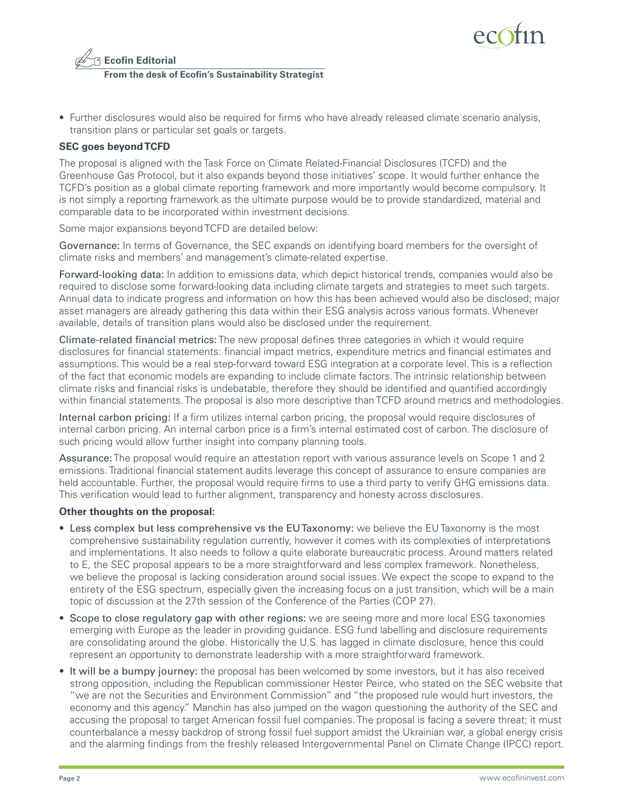



• Further disclosures would also be required for firms who have already released climate scenario analysis, transition plans or particular set goals or targets.

## **SEC goes beyond TCFD**

The proposal is aligned with the Task Force on Climate Related-Financial Disclosures (TCFD) and the Greenhouse Gas Protocol, but it also expands beyond those initiatives' scope. It would further enhance the TCFD's position as a global climate reporting framework and more importantly would become compulsory. It is not simply a reporting framework as the ultimate purpose would be to provide standardized, material and comparable data to be incorporated within investment decisions.

Some major expansions beyond TCFD are detailed below:

Governance: In terms of Governance, the SEC expands on identifying board members for the oversight of climate risks and members' and management's climate-related expertise.

Forward-looking data: In addition to emissions data, which depict historical trends, companies would also be required to disclose some forward-looking data including climate targets and strategies to meet such targets. Annual data to indicate progress and information on how this has been achieved would also be disclosed; major asset managers are already gathering this data within their ESG analysis across various formats. Whenever available, details of transition plans would also be disclosed under the requirement.

Climate-related financial metrics: The new proposal defines three categories in which it would require disclosures for financial statements: financial impact metrics, expenditure metrics and financial estimates and assumptions. This would be a real step-forward toward ESG integration at a corporate level. This is a reflection of the fact that economic models are expanding to include climate factors. The intrinsic relationship between climate risks and financial risks is undebatable, therefore they should be identified and quantified accordingly within financial statements. The proposal is also more descriptive than TCFD around metrics and methodologies.

Internal carbon pricing: If a firm utilizes internal carbon pricing, the proposal would require disclosures of internal carbon pricing. An internal carbon price is a firm's internal estimated cost of carbon. The disclosure of such pricing would allow further insight into company planning tools.

Assurance: The proposal would require an attestation report with various assurance levels on Scope 1 and 2 emissions. Traditional financial statement audits leverage this concept of assurance to ensure companies are held accountable. Further, the proposal would require firms to use a third party to verify GHG emissions data. This verification would lead to further alignment, transparency and honesty across disclosures.

#### **Other thoughts on the proposal:**

- Less complex but less comprehensive vs the EU Taxonomy: we believe the EU Taxonomy is the most comprehensive sustainability regulation currently, however it comes with its complexities of interpretations and implementations. It also needs to follow a quite elaborate bureaucratic process. Around matters related to E, the SEC proposal appears to be a more straightforward and less complex framework. Nonetheless, we believe the proposal is lacking consideration around social issues. We expect the scope to expand to the entirety of the ESG spectrum, especially given the increasing focus on a just transition, which will be a main topic of discussion at the 27th session of the Conference of the Parties (COP 27).
- Scope to close regulatory gap with other regions: we are seeing more and more local ESG taxonomies emerging with Europe as the leader in providing guidance. ESG fund labelling and disclosure requirements are consolidating around the globe. Historically the U.S. has lagged in climate disclosure, hence this could represent an opportunity to demonstrate leadership with a more straightforward framework.
- It will be a bumpy journey: the proposal has been welcomed by some investors, but it has also received strong opposition, including the Republican commissioner Hester Peirce, who stated on the SEC website that "we are not the Securities and Environment Commission" and "the proposed rule would hurt investors, the economy and this agency." Manchin has also jumped on the wagon questioning the authority of the SEC and accusing the proposal to target American fossil fuel companies. The proposal is facing a severe threat; it must counterbalance a messy backdrop of strong fossil fuel support amidst the Ukrainian war, a global energy crisis and the alarming findings from the freshly released Intergovernmental Panel on Climate Change (IPCC) report.